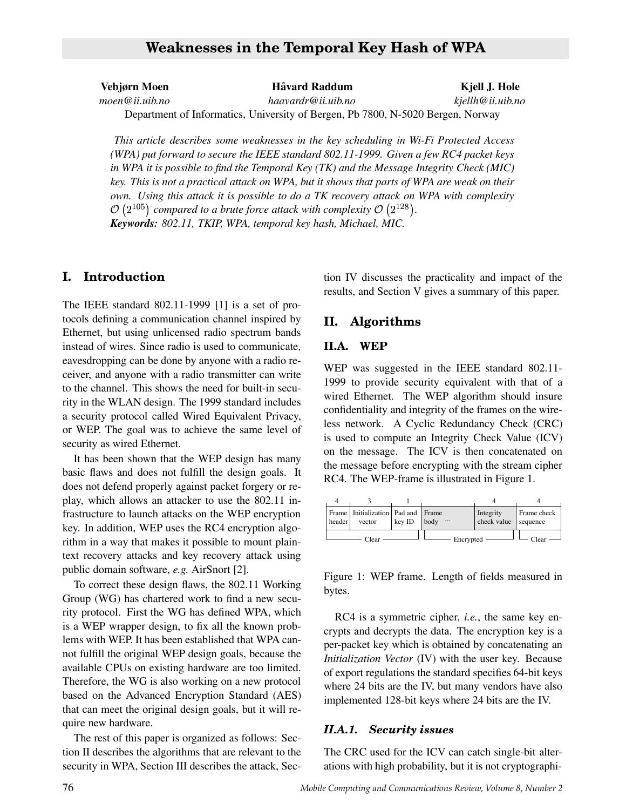# **Weaknesses in the Temporal Key Hash of WPA**

**Vebjørn Moen Havard Raddum Kjell J. Hole ˚**

*moen@ii.uib.no haavardr@ii.uib.no kjellh@ii.uib.no*

Department of Informatics, University of Bergen, Pb 7800, N-5020 Bergen, Norway

*This article describes some weaknesses in the key scheduling in Wi-Fi Protected Access (WPA) put forward to secure the IEEE standard 802.11-1999. Given a few RC4 packet keys in WPA it is possible to find the Temporal Key (TK) and the Message Integrity Check (MIC) key. This is not a practical attack on WPA, but it shows that parts of WPA are weak on their own. Using this attack it is possible to do a TK recovery attack on WPA with complexity*  $\mathcal{O}\left(2^{105}\right)$  compared to a brute force attack with complexity  $\mathcal{O}\left(2^{128}\right)$ . *Keywords: 802.11, TKIP, WPA, temporal key hash, Michael, MIC.*

## **I. Introduction**

The IEEE standard 802.11-1999 [1] is a set of protocols defining a communication channel inspired by Ethernet, but using unlicensed radio spectrum bands instead of wires. Since radio is used to communicate, eavesdropping can be done by anyone with a radio receiver, and anyone with a radio transmitter can write to the channel. This shows the need for built-in security in the WLAN design. The 1999 standard includes a security protocol called Wired Equivalent Privacy, or WEP. The goal was to achieve the same level of security as wired Ethernet.

It has been shown that the WEP design has many basic flaws and does not fulfill the design goals. It does not defend properly against packet forgery or replay, which allows an attacker to use the 802.11 infrastructure to launch attacks on the WEP encryption key. In addition, WEP uses the RC4 encryption algorithm in a way that makes it possible to mount plaintext recovery attacks and key recovery attack using public domain software, *e.g.* AirSnort [2].

To correct these design flaws, the 802.11 Working Group (WG) has chartered work to find a new security protocol. First the WG has defined WPA, which is a WEP wrapper design, to fix all the known problems with WEP. It has been established that WPA cannot fulfill the original WEP design goals, because the available CPUs on existing hardware are too limited. Therefore, the WG is also working on a new protocol based on the Advanced Encryption Standard (AES) that can meet the original design goals, but it will require new hardware.

The rest of this paper is organized as follows: Section II describes the algorithms that are relevant to the security in WPA, Section III describes the attack, Section IV discusses the practicality and impact of the results, and Section V gives a summary of this paper.

### **II. Algorithms**

#### **II.A. WEP**

WEP was suggested in the IEEE standard 802.11- 1999 to provide security equivalent with that of a wired Ethernet. The WEP algorithm should insure confidentiality and integrity of the frames on the wireless network. A Cyclic Redundancy Check (CRC) is used to compute an Integrity Check Value (ICV) on the message. The ICV is then concatenated on the message before encrypting with the stream cipher RC4. The WEP-frame is illustrated in Figure 1.



Figure 1: WEP frame. Length of fields measured in bytes.

RC4 is a symmetric cipher, *i.e.*, the same key encrypts and decrypts the data. The encryption key is a per-packet key which is obtained by concatenating an *Initialization Vector* (IV) with the user key. Because of export regulations the standard specifies 64-bit keys where 24 bits are the IV, but many vendors have also implemented 128-bit keys where 24 bits are the IV.

#### *II.A.1. Security issues*

The CRC used for the ICV can catch single-bit alterations with high probability, but it is not cryptographi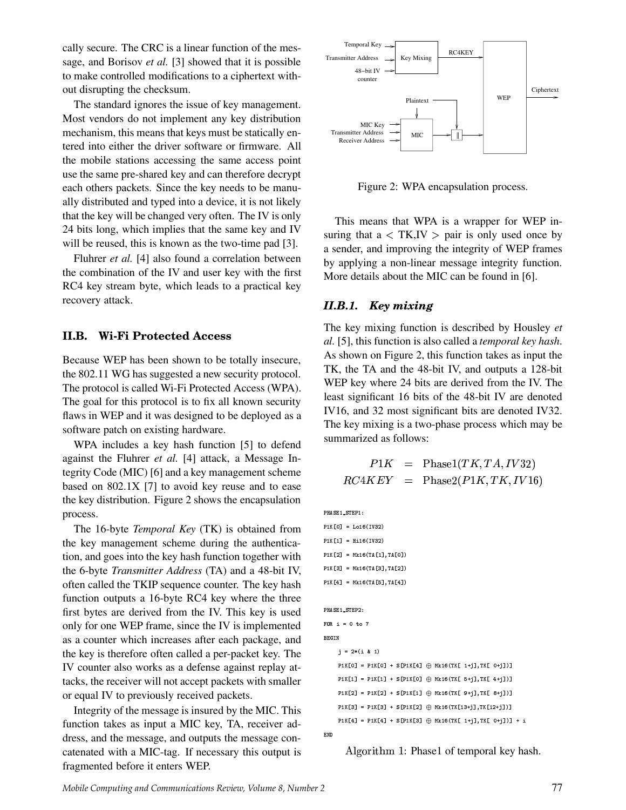cally secure. The CRC is a linear function of the message, and Borisov *et al.* [3] showed that it is possible to make controlled modifications to a ciphertext without disrupting the checksum.

The standard ignores the issue of key management. Most vendors do not implement any key distribution mechanism, this means that keys must be statically entered into either the driver software or firmware. All the mobile stations accessing the same access point use the same pre-shared key and can therefore decrypt each others packets. Since the key needs to be manually distributed and typed into a device, it is not likely that the key will be changed very often. The IV is only 24 bits long, which implies that the same key and IV will be reused, this is known as the two-time pad [3].

Fluhrer *et al.* [4] also found a correlation between the combination of the IV and user key with the first RC4 key stream byte, which leads to a practical key recovery attack.

#### **II.B. Wi-Fi Protected Access**

Because WEP has been shown to be totally insecure, the 802.11 WG has suggested a new security protocol. The protocol is called Wi-Fi Protected Access (WPA). The goal for this protocol is to fix all known security flaws in WEP and it was designed to be deployed as a software patch on existing hardware.

WPA includes a key hash function [5] to defend against the Fluhrer *et al.* [4] attack, a Message Integrity Code (MIC) [6] and a key management scheme based on 802.1X [7] to avoid key reuse and to ease the key distribution. Figure 2 shows the encapsulation process.

The 16-byte *Temporal Key* (TK) is obtained from the key management scheme during the authentication, and goes into the key hash function together with the 6-byte *Transmitter Address* (TA) and a 48-bit IV, often called the TKIP sequence counter. The key hash function outputs a 16-byte RC4 key where the three first bytes are derived from the IV. This key is used only for one WEP frame, since the IV is implemented as a counter which increases after each package, and the key is therefore often called a per-packet key. The IV counter also works as a defense against replay attacks, the receiver will not accept packets with smaller or equal IV to previously received packets.

Integrity of the message is insured by the MIC. This function takes as input a MIC key, TA, receiver address, and the message, and outputs the message concatenated with a MIC-tag. If necessary this output is fragmented before it enters WEP.



Figure 2: WPA encapsulation process.

This means that WPA is a wrapper for WEP insuring that  $a < TK, IV > pair$  is only used once by a sender, and improving the integrity of WEP frames by applying a non-linear message integrity function. More details about the MIC can be found in [6].

#### *II.B.1. Key mixing*

The key mixing function is described by Housley *et al.* [5], this function is also called a *temporal key hash*. As shown on Figure 2, this function takes as input the TK, the TA and the 48-bit IV, and outputs a 128-bit WEP key where 24 bits are derived from the IV. The least significant 16 bits of the 48-bit IV are denoted IV16, and 32 most significant bits are denoted IV32. The key mixing is a two-phase process which may be summarized as follows:

$$
P1K = \text{Phase1}(TK, TA, IV32)
$$
  

$$
RC4KEY = \text{Phase2}(P1K, TK, IV16)
$$

PHASE1\_STEP1:

```
P1K[0] = Lo16(IV32)
P1K[1] = H116(IV32)P1K[2] = Mk16 (TA[1], TA[0])P1K[3] = Mk16(TA[3], TA[2])P1K[4] = Mk16(TA[5], TA[4])PHASE1_STEP2:
\texttt{FOR} \texttt{i} = 0 to 7 \hspace{10mm}BEG IN
     j = 2*(i \& 1)  ! "#$ %   ! "# $@  "  ! "3$A 01  ( ) ! "  @
$ 2 ! " # @
$ . $
=
=
       ! "  $%   ! "  $@  "  ! "# $A 01  ( ) ! " 4 @
$ 2 ! " 3@
$ . $
=
=
       ! "-$ %   ! "- $@  "  ! " $A 01  ( ) ! " B @
$ 2 ! " C @
$ . $
=
=
       ! ",$ %   ! ", $@  "  ! "- $A 01  ( ) ! " , @
$ 2 ! "  - @
$ . $ =
=
       ! "3$ %   ! "3$@  "  ! ", $A 01  ( ) ! "  @
$ 2 ! " # @
$ . $ @ /
```
END<br>Algorithm 1: Phase1 of temporal key hash.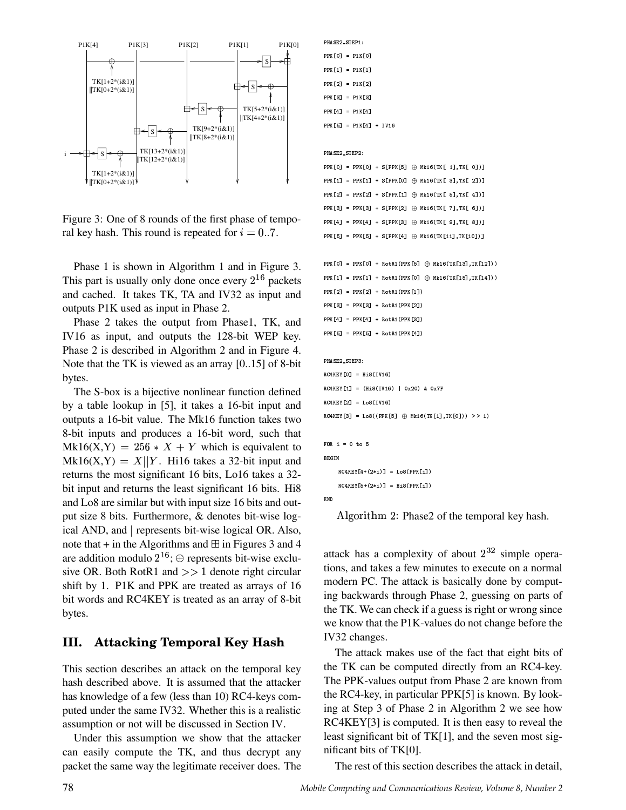

Figure 3: One of 8 rounds of the first phase of temporal key hash. This round is repeated for  $i = 0..7$ .

Phase 1 is shown in Algorithm 1 and in Figure 3. This part is usually only done once every  $2^{16}$  packets and cached. It takes TK, TA and IV32 as input and outputs P1K used as input in Phase 2.

Phase 2 takes the output from Phase1, TK, and IV16 as input, and outputs the 128-bit WEP key. Phase 2 is described in Algorithm 2 and in Figure 4. Note that the TK is viewed as an array [0..15] of 8-bit bytes.

The S-box is a bijective nonlinear function defined by a table lookup in [5], it takes a 16-bit input and outputs a 16-bit value. The Mk16 function takes two 8-bit inputs and produces a 16-bit word, such that  $Mk16(X,Y) = 256 * X + Y$  which is equivalent to  $Mk16(X,Y) = X||Y$ . Hi16 takes a 32-bit input and returns the most significant 16 bits, Lo16 takes a 32 bit input and returns the least significant 16 bits. Hi8 and Lo8 are similar but with input size 16 bits and output size 8 bits. Furthermore, & denotes bit-wise logical AND, and | represents bit-wise logical OR. Also, note that  $+$  in the Algorithms and  $\boxplus$  in Figures 3 and 4 are addition modulo  $2^{16}$ ;  $\oplus$  represents bit-wise exclusive OR. Both RotR1 and  $>> 1$  denote right circular shift by 1. P1K and PPK are treated as arrays of 16 bit words and RC4KEY is treated as an array of 8-bit bytes.

## **III. Attacking Temporal Key Hash**

This section describes an attack on the temporal key hash described above. It is assumed that the attacker has knowledge of a few (less than 10) RC4-keys computed under the same IV32. Whether this is a realistic assumption or not will be discussed in Section IV.

Under this assumption we show that the attacker can easily compute the TK, and thus decrypt any packet the same way the legitimate receiver does. The

```
PPK[0] = P1K[0]PPK[1] = P1K[1] 
     
                 the contract of the contract of the contract of
PPK[3] = P1K[3]PPK[4] = P1K[4]PPK[5] = P1K[4] + IV16  	

PPK[0] = PPK[0] + S[PPK[5] \oplus Mk16(TK[ 1],TK[ 0])]
mmutul mmutul afmoutal Courainnt almut alli
nnufal nnufal afnnufil O wia/muf el muf 1111
nnufal nnufal afnnufal O wia/muf el muf alll
PPK[4] = PPK[4] + S[PPK[3] \oplus Mk16(TK[9], TK[8]))PPK[5] = PPK[5] + S[PPK[4] \oplus Mk16(TK[11], TK[10]))     #$ % #                

PPK[1] = PPK[1] + RotR1(PPK[0] \oplus Mk16(TK[15],TK[14])) 

  #$ % #      
     #$ % #     

PPK[4] = PPK[4] + RotR1(PPK[3])PPK [5] = PPK [5] + RotR1 (PPK [4])  	

 RC4KEY[0] = His(IV16)RC4KEY[1] = (Hi8(IV16) | 0x20) & 0x7F
#	

  ) $ "      RC4KEY[3] = Lo8((PPK[5] \oplus Mk16(TK[1],TK[0])) >> 1)FOR i = 0 to 5BEGIN<br>
\overline{S} \overline{S} \overline{S} \overline{S} \overline{S} \overline{S} \overline{S} \overline{S} \overline{S} \overline{S} \overline{S} \overline{S} \overline{S} \overline{S} \overline{S} \overline{S} \overline{S} \overline{S} \overline{S} \overline{S} \overline{S} \overline{S} \overline{S} \overline{S}#	

 . &    &"   &
```
 

<sub>END</sub><br>Algorithm 2: Phase2 of the temporal key hash.

attack has a complexity of about  $2^{32}$  simple operations, and takes a few minutes to execute on a normal modern PC. The attack is basically done by computing backwards through Phase 2, guessing on parts of the TK. We can check if a guess is right or wrong since we know that the P1K-values do not change before the IV32 changes.

The attack makes use of the fact that eight bits of the TK can be computed directly from an RC4-key. The PPK-values output from Phase 2 are known from the RC4-key, in particular PPK[5] is known. By looking at Step 3 of Phase 2 in Algorithm 2 we see how RC4KEY[3] is computed. It is then easy to reveal the least significant bit of TK[1], and the seven most significant bits of TK[0].

The rest of this section describes the attack in detail,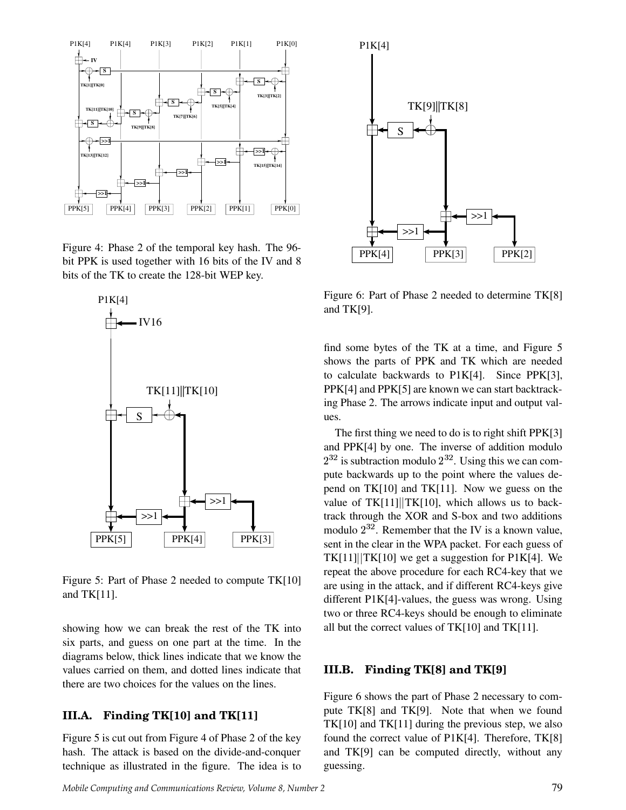

Figure 4: Phase 2 of the temporal key hash. The 96 bit PPK is used together with 16 bits of the IV and 8 bits of the TK to create the 128-bit WEP key.



Figure 5: Part of Phase 2 needed to compute TK[10] and TK[11].

showing how we can break the rest of the TK into six parts, and guess on one part at the time. In the diagrams below, thick lines indicate that we know the values carried on them, and dotted lines indicate that there are two choices for the values on the lines.

## **III.A. Finding TK[10] and TK[11]**

Figure 5 is cut out from Figure 4 of Phase 2 of the key hash. The attack is based on the divide-and-conquer technique as illustrated in the figure. The idea is to



Figure 6: Part of Phase 2 needed to determine TK[8] and TK[9].

find some bytes of the TK at a time, and Figure 5 shows the parts of PPK and TK which are needed to calculate backwards to P1K[4]. Since PPK[3], PPK[4] and PPK[5] are known we can start backtracking Phase 2. The arrows indicate input and output values.

The first thing we need to do is to right shift PPK[3] and PPK[4] by one. The inverse of addition modulo  $2^{32}$  is subtraction modulo  $2^{32}$ . Using this we can compute backwards up to the point where the values depend on TK[10] and TK[11]. Now we guess on the value of  $TK[11] | TK[10]$ , which allows us to backtrack through the XOR and S-box and two additions modulo  $2^{32}$ . Remember that the IV is a known value, sent in the clear in the WPA packet. For each guess of  $TK[11]$   $TK[10]$  we get a suggestion for P1K[4]. We repeat the above procedure for each RC4-key that we are using in the attack, and if different RC4-keys give different P1K[4]-values, the guess was wrong. Using two or three RC4-keys should be enough to eliminate all but the correct values of TK[10] and TK[11].

#### **III.B. Finding TK[8] and TK[9]**

Figure 6 shows the part of Phase 2 necessary to compute TK[8] and TK[9]. Note that when we found TK[10] and TK[11] during the previous step, we also found the correct value of P1K[4]. Therefore, TK[8] and TK[9] can be computed directly, without any guessing.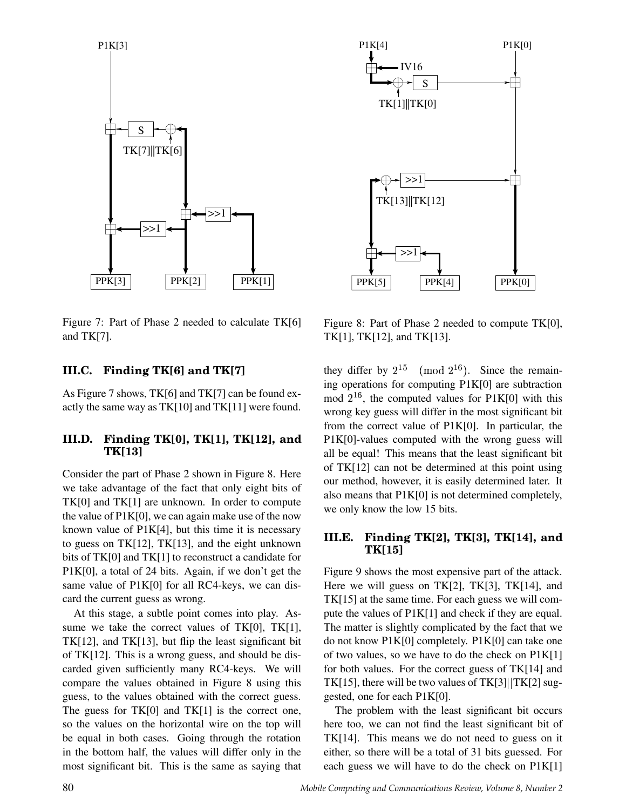

Figure 7: Part of Phase 2 needed to calculate TK[6] and TK[7].

## **III.C. Finding TK[6] and TK[7]**

As Figure 7 shows, TK[6] and TK[7] can be found exactly the same way as TK[10] and TK[11] were found.

#### **III.D. Finding TK[0], TK[1], TK[12], and TK[13]**

Consider the part of Phase 2 shown in Figure 8. Here we take advantage of the fact that only eight bits of TK[0] and TK[1] are unknown. In order to compute the value of P1K[0], we can again make use of the now known value of  $P1K[4]$ , but this time it is necessary to guess on TK[12], TK[13], and the eight unknown bits of TK[0] and TK[1] to reconstruct a candidate for P1K[0], a total of 24 bits. Again, if we don't get the same value of P1K[0] for all RC4-keys, we can discard the current guess as wrong.

At this stage, a subtle point comes into play. Assume we take the correct values of TK[0], TK[1], TK[12], and TK[13], but flip the least significant bit of TK[12]. This is a wrong guess, and should be discarded given sufficiently many RC4-keys. We will compare the values obtained in Figure 8 using this guess, to the values obtained with the correct guess. The guess for TK[0] and TK[1] is the correct one, so the values on the horizontal wire on the top will be equal in both cases. Going through the rotation in the bottom half, the values will differ only in the most significant bit. This is the same as saying that



Figure 8: Part of Phase 2 needed to compute TK[0], TK[1], TK[12], and TK[13].

they differ by  $2^{15} \pmod{2^{16}}$ . Since the remaining operations for computing P1K[0] are subtraction mod  $2^{16}$ , the computed values for P1K[0] with this wrong key guess will differ in the most significant bit from the correct value of P1K[0]. In particular, the P1K[0]-values computed with the wrong guess will all be equal! This means that the least significant bit of TK[12] can not be determined at this point using our method, however, it is easily determined later. It also means that P1K[0] is not determined completely, we only know the low 15 bits.

#### **III.E. Finding TK[2], TK[3], TK[14], and TK[15]**

Figure 9 shows the most expensive part of the attack. Here we will guess on TK[2], TK[3], TK[14], and TK[15] at the same time. For each guess we will compute the values of P1K[1] and check if they are equal. The matter is slightly complicated by the fact that we do not know P1K[0] completely. P1K[0] can take one of two values, so we have to do the check on P1K[1] for both values. For the correct guess of TK[14] and TK[15], there will be two values of TK[3] $\rm |TK[2]$  suggested, one for each P1K[0].

The problem with the least significant bit occurs here too, we can not find the least significant bit of TK[14]. This means we do not need to guess on it either, so there will be a total of 31 bits guessed. For each guess we will have to do the check on P1K[1]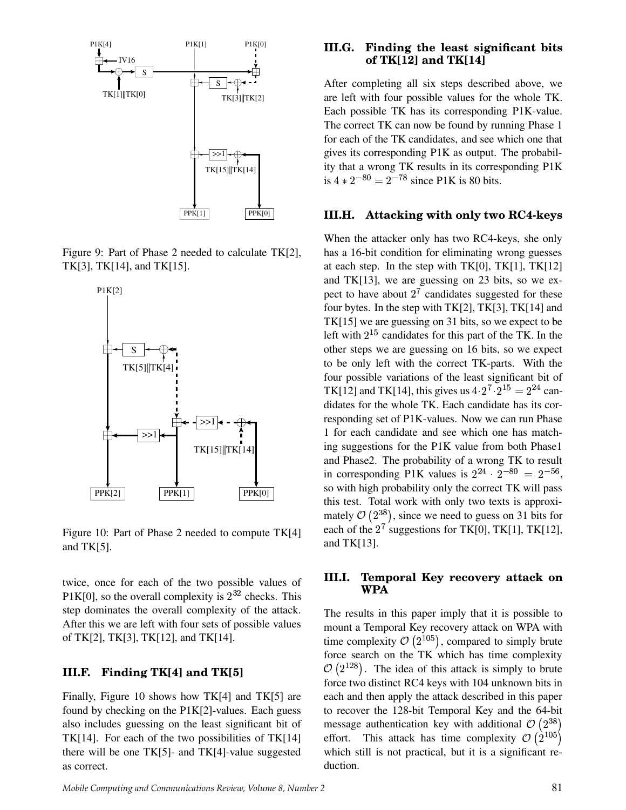

Figure 9: Part of Phase 2 needed to calculate TK[2], TK[3], TK[14], and TK[15].



Figure 10: Part of Phase 2 needed to compute TK[4] and TK[5].

twice, once for each of the two possible values of  $P1K[0]$ , so the overall complexity is  $2^{32}$  checks. This step dominates the overall complexity of the attack. After this we are left with four sets of possible values of TK[2], TK[3], TK[12], and TK[14].

### **III.F. Finding TK[4] and TK[5]**

Finally, Figure 10 shows how TK[4] and TK[5] are found by checking on the P1K[2]-values. Each guess also includes guessing on the least significant bit of TK[14]. For each of the two possibilities of TK[14] there will be one TK[5]- and TK[4]-value suggested as correct.

#### **III.G. Finding the least significant bits of TK[12] and TK[14]**

After completing all six steps described above, we are left with four possible values for the whole TK. Each possible TK has its corresponding P1K-value. The correct TK can now be found by running Phase 1 for each of the TK candidates, and see which one that gives its corresponding P1K as output. The probability that a wrong TK results in its corresponding P1K is  $4 \times 2^{-80} = 2^{-78}$  since P1K is 80 bits.

#### **III.H. Attacking with only two RC4-keys**

When the attacker only has two RC4-keys, she only has a 16-bit condition for eliminating wrong guesses at each step. In the step with  $TK[0]$ ,  $TK[1]$ ,  $TK[12]$ and TK[13], we are guessing on 23 bits, so we expect to have about  $2^7$  candidates suggested for these four bytes. In the step with TK[2], TK[3], TK[14] and TK[15] we are guessing on 31 bits, so we expect to be left with  $2^{15}$  candidates for this part of the TK. In the other steps we are guessing on 16 bits, so we expect to be only left with the correct TK-parts. With the four possible variations of the least significant bit of TK[12] and TK[14], this gives us  $4 \cdot 2^7 \cdot 2^{15} = 2^{24}$  candidates for the whole TK. Each candidate has its corresponding set of P1K-values. Now we can run Phase 1 for each candidate and see which one has matching suggestions for the P1K value from both Phase1 and Phase2. The probability of a wrong TK to result in corresponding P1K values is  $2^{24} \cdot 2^{-80} = 2^{-56}$ , so with high probability only the correct TK will pass this test. Total work with only two texts is approximately  $\mathcal{O}(2^{38})$ , since we need to guess on 31 bits for each of the  $2^7$  suggestions for TK[0], TK[1], TK[12], and TK[13].

#### **III.I. Temporal Key recovery attack on WPA**

The results in this paper imply that it is possible to mount a Temporal Key recovery attack on WPA with time complexity  $\mathcal{O}(2^{105})$ , compared to simply brute force search on the TK which has time complexity  $\mathcal{O}(2^{128})$ . The idea of this attack is simply to brute force two distinct RC4 keys with 104 unknown bits in each and then apply the attack described in this paper to recover the 128-bit Temporal Key and the 64-bit message authentication key with additional  $\mathcal{O}(2^{38})$ effort. This attack has time complexity  $\mathcal{O}(2^{105})$ which still is not practical, but it is a significant reduction.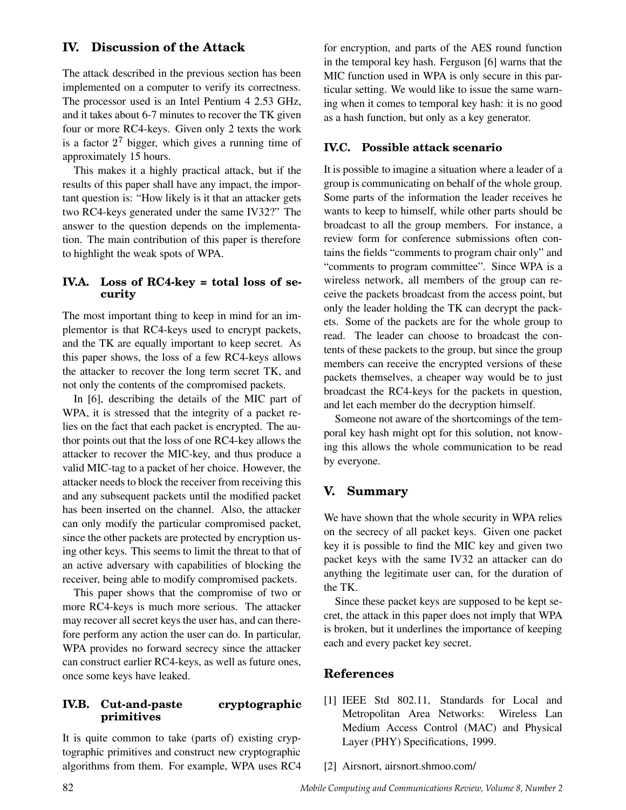## **IV. Discussion of the Attack**

The attack described in the previous section has been implemented on a computer to verify its correctness. The processor used is an Intel Pentium 4 2.53 GHz, and it takes about 6-7 minutes to recover the TK given four or more RC4-keys. Given only 2 texts the work is a factor  $2<sup>7</sup>$  bigger, which gives a running time of approximately 15 hours.

This makes it a highly practical attack, but if the results of this paper shall have any impact, the important question is: "How likely is it that an attacker gets two RC4-keys generated under the same IV32?" The answer to the question depends on the implementation. The main contribution of this paper is therefore to highlight the weak spots of WPA.

#### **IV.A. Loss of RC4-key = total loss of security**

The most important thing to keep in mind for an implementor is that RC4-keys used to encrypt packets, and the TK are equally important to keep secret. As this paper shows, the loss of a few RC4-keys allows the attacker to recover the long term secret TK, and not only the contents of the compromised packets.

In [6], describing the details of the MIC part of WPA, it is stressed that the integrity of a packet relies on the fact that each packet is encrypted. The author points out that the loss of one RC4-key allows the attacker to recover the MIC-key, and thus produce a valid MIC-tag to a packet of her choice. However, the attacker needs to block the receiver from receiving this and any subsequent packets until the modified packet has been inserted on the channel. Also, the attacker can only modify the particular compromised packet, since the other packets are protected by encryption using other keys. This seems to limit the threat to that of an active adversary with capabilities of blocking the receiver, being able to modify compromised packets.

This paper shows that the compromise of two or more RC4-keys is much more serious. The attacker may recover all secret keys the user has, and can therefore perform any action the user can do. In particular, WPA provides no forward secrecy since the attacker can construct earlier RC4-keys, as well as future ones, once some keys have leaked.

## **IV.B. Cut-and-paste cryptographic primitives**

It is quite common to take (parts of) existing cryptographic primitives and construct new cryptographic algorithms from them. For example, WPA uses RC4 for encryption, and parts of the AES round function in the temporal key hash. Ferguson [6] warns that the MIC function used in WPA is only secure in this particular setting. We would like to issue the same warning when it comes to temporal key hash: it is no good as a hash function, but only as a key generator.

## **IV.C. Possible attack scenario**

It is possible to imagine a situation where a leader of a group is communicating on behalf of the whole group. Some parts of the information the leader receives he wants to keep to himself, while other parts should be broadcast to all the group members. For instance, a review form for conference submissions often contains the fields "comments to program chair only" and "comments to program committee". Since WPA is a wireless network, all members of the group can receive the packets broadcast from the access point, but only the leader holding the TK can decrypt the packets. Some of the packets are for the whole group to read. The leader can choose to broadcast the contents of these packets to the group, but since the group members can receive the encrypted versions of these packets themselves, a cheaper way would be to just broadcast the RC4-keys for the packets in question, and let each member do the decryption himself.

Someone not aware of the shortcomings of the temporal key hash might opt for this solution, not knowing this allows the whole communication to be read by everyone.

## **V. Summary**

We have shown that the whole security in WPA relies on the secrecy of all packet keys. Given one packet key it is possible to find the MIC key and given two packet keys with the same IV32 an attacker can do anything the legitimate user can, for the duration of the TK.

Since these packet keys are supposed to be kept secret, the attack in this paper does not imply that WPA is broken, but it underlines the importance of keeping each and every packet key secret.

## **References**

- [1] IEEE Std 802.11, Standards for Local and Metropolitan Area Networks: Wireless Lan Medium Access Control (MAC) and Physical Layer (PHY) Specifications, 1999.
- [2] Airsnort, airsnort.shmoo.com/